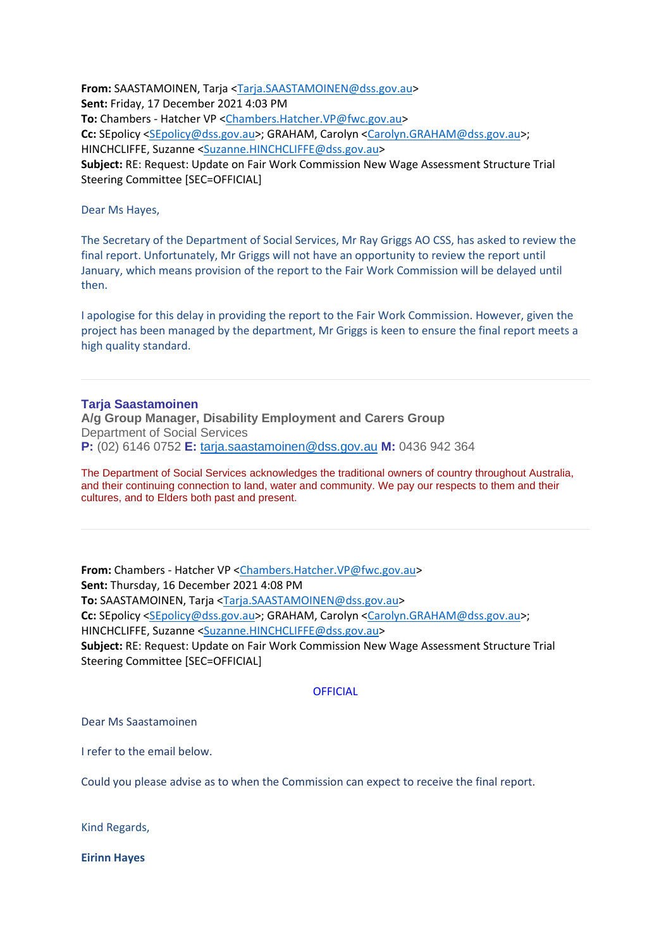**From:** SAASTAMOINEN, Tarja [<Tarja.SAASTAMOINEN@dss.gov.au>](mailto:Tarja.SAASTAMOINEN@dss.gov.au) **Sent:** Friday, 17 December 2021 4:03 PM **To:** Chambers - Hatcher VP [<Chambers.Hatcher.VP@fwc.gov.au>](mailto:Chambers.Hatcher.VP@fwc.gov.au) **Cc:** SEpolicy [<SEpolicy@dss.gov.au>](mailto:SEpolicy@dss.gov.au); GRAHAM, Carolyn [<Carolyn.GRAHAM@dss.gov.au>](mailto:Carolyn.GRAHAM@dss.gov.au); HINCHCLIFFE, Suzanne [<Suzanne.HINCHCLIFFE@dss.gov.au>](mailto:Suzanne.HINCHCLIFFE@dss.gov.au) **Subject:** RE: Request: Update on Fair Work Commission New Wage Assessment Structure Trial Steering Committee [SEC=OFFICIAL]

Dear Ms Hayes,

The Secretary of the Department of Social Services, Mr Ray Griggs AO CSS, has asked to review the final report. Unfortunately, Mr Griggs will not have an opportunity to review the report until January, which means provision of the report to the Fair Work Commission will be delayed until then.

I apologise for this delay in providing the report to the Fair Work Commission. However, given the project has been managed by the department, Mr Griggs is keen to ensure the final report meets a high quality standard.

### **Tarja Saastamoinen**

**A/g Group Manager, Disability Employment and Carers Group** Department of Social Services **P:** (02) 6146 0752 **E:** [tarja.saastamoinen@dss.gov.au](mailto:tarja.saastamoinen@dss.gov.au) **M:** 0436 942 364

The Department of Social Services acknowledges the traditional owners of country throughout Australia, and their continuing connection to land, water and community. We pay our respects to them and their cultures, and to Elders both past and present.

**From:** Chambers - Hatcher VP [<Chambers.Hatcher.VP@fwc.gov.au>](mailto:Chambers.Hatcher.VP@fwc.gov.au) **Sent:** Thursday, 16 December 2021 4:08 PM **To:** SAASTAMOINEN, Tarja [<Tarja.SAASTAMOINEN@dss.gov.au>](mailto:Tarja.SAASTAMOINEN@dss.gov.au) **Cc:** SEpolicy [<SEpolicy@dss.gov.au>](mailto:SEpolicy@dss.gov.au); GRAHAM, Carolyn [<Carolyn.GRAHAM@dss.gov.au>](mailto:Carolyn.GRAHAM@dss.gov.au); HINCHCLIFFE, Suzanne [<Suzanne.HINCHCLIFFE@dss.gov.au>](mailto:Suzanne.HINCHCLIFFE@dss.gov.au) **Subject:** RE: Request: Update on Fair Work Commission New Wage Assessment Structure Trial Steering Committee [SEC=OFFICIAL]

### **OFFICIAL**

#### Dear Ms Saastamoinen

I refer to the email below.

Could you please advise as to when the Commission can expect to receive the final report.

Kind Regards,

**Eirinn Hayes**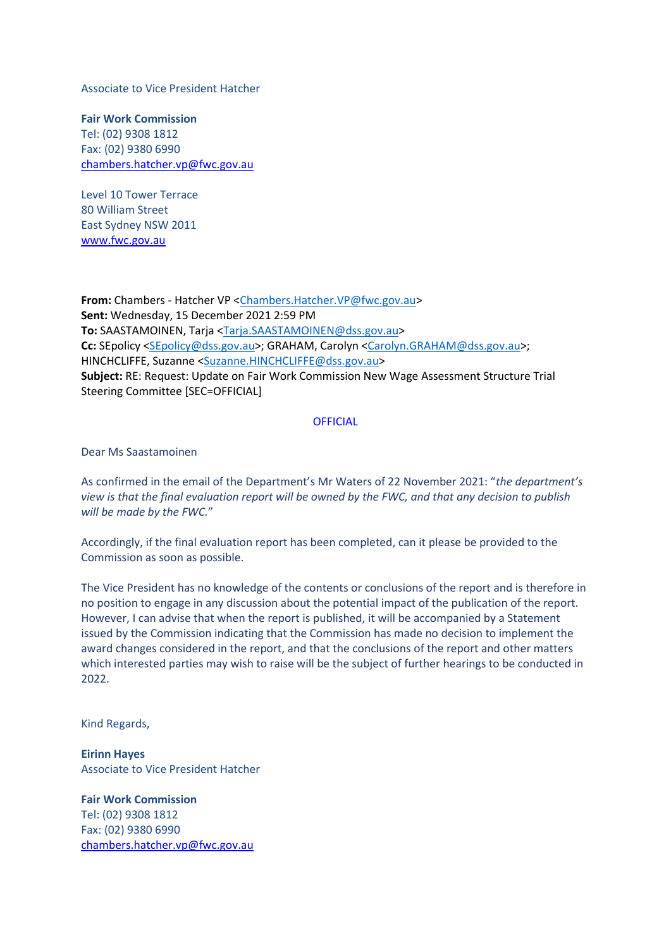Associate to Vice President Hatcher

**Fair Work Commission**  Tel: (02) 9308 1812 Fax: (02) 9380 6990 [chambers.hatcher.vp@fwc.gov.au](mailto:chambers.hatcher.vp@fwc.gov.au)

Level 10 Tower Terrace 80 William Street East Sydney NSW 2011 [www.fwc.gov.au](http://www.fwc.gov.au/)

**From:** Chambers - Hatcher VP [<Chambers.Hatcher.VP@fwc.gov.au>](mailto:Chambers.Hatcher.VP@fwc.gov.au) **Sent:** Wednesday, 15 December 2021 2:59 PM **To:** SAASTAMOINEN, Tarja [<Tarja.SAASTAMOINEN@dss.gov.au>](mailto:Tarja.SAASTAMOINEN@dss.gov.au) **Cc:** SEpolicy [<SEpolicy@dss.gov.au>](mailto:SEpolicy@dss.gov.au); GRAHAM, Carolyn [<Carolyn.GRAHAM@dss.gov.au>](mailto:Carolyn.GRAHAM@dss.gov.au); HINCHCLIFFE, Suzanne [<Suzanne.HINCHCLIFFE@dss.gov.au>](mailto:Suzanne.HINCHCLIFFE@dss.gov.au) **Subject:** RE: Request: Update on Fair Work Commission New Wage Assessment Structure Trial Steering Committee [SEC=OFFICIAL]

### **OFFICIAL**

Dear Ms Saastamoinen

As confirmed in the email of the Department's Mr Waters of 22 November 2021: "*the department's view is that the final evaluation report will be owned by the FWC, and that any decision to publish will be made by the FWC.*"

Accordingly, if the final evaluation report has been completed, can it please be provided to the Commission as soon as possible.

The Vice President has no knowledge of the contents or conclusions of the report and is therefore in no position to engage in any discussion about the potential impact of the publication of the report. However, I can advise that when the report is published, it will be accompanied by a Statement issued by the Commission indicating that the Commission has made no decision to implement the award changes considered in the report, and that the conclusions of the report and other matters which interested parties may wish to raise will be the subject of further hearings to be conducted in 2022.

Kind Regards,

**Eirinn Hayes** Associate to Vice President Hatcher

**Fair Work Commission**  Tel: (02) 9308 1812 Fax: (02) 9380 6990 [chambers.hatcher.vp@fwc.gov.au](mailto:chambers.hatcher.vp@fwc.gov.au)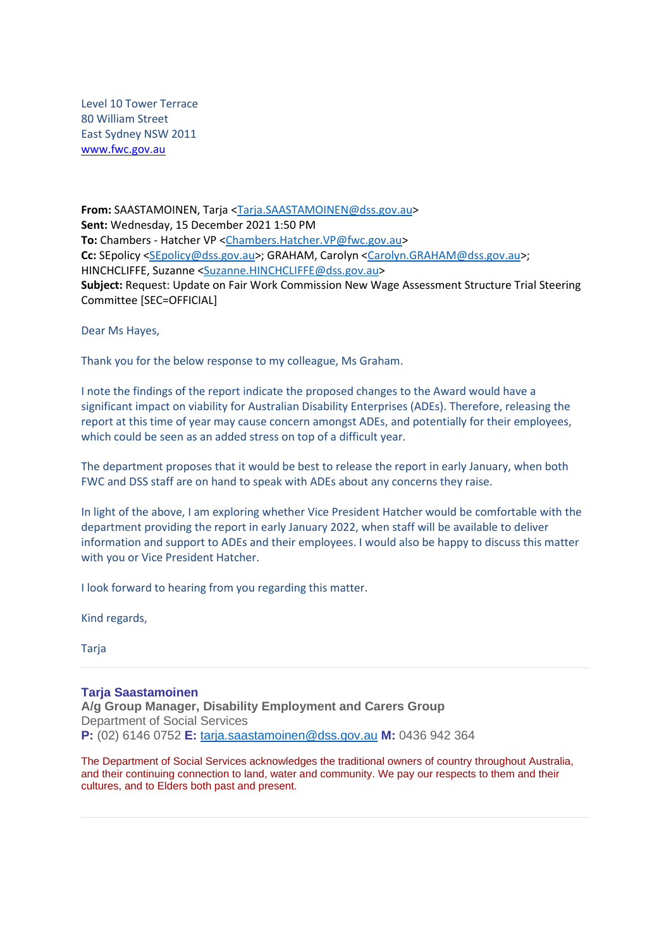Level 10 Tower Terrace 80 William Street East Sydney NSW 2011 [www.fwc.gov.au](http://www.fwc.gov.au/)

**From:** SAASTAMOINEN, Tarja [<Tarja.SAASTAMOINEN@dss.gov.au>](mailto:Tarja.SAASTAMOINEN@dss.gov.au) **Sent:** Wednesday, 15 December 2021 1:50 PM **To:** Chambers - Hatcher VP [<Chambers.Hatcher.VP@fwc.gov.au>](mailto:Chambers.Hatcher.VP@fwc.gov.au) **Cc:** SEpolicy [<SEpolicy@dss.gov.au>](mailto:SEpolicy@dss.gov.au); GRAHAM, Carolyn [<Carolyn.GRAHAM@dss.gov.au>](mailto:Carolyn.GRAHAM@dss.gov.au); HINCHCLIFFE, Suzanne [<Suzanne.HINCHCLIFFE@dss.gov.au>](mailto:Suzanne.HINCHCLIFFE@dss.gov.au) **Subject:** Request: Update on Fair Work Commission New Wage Assessment Structure Trial Steering Committee [SEC=OFFICIAL]

Dear Ms Hayes,

Thank you for the below response to my colleague, Ms Graham.

I note the findings of the report indicate the proposed changes to the Award would have a significant impact on viability for Australian Disability Enterprises (ADEs). Therefore, releasing the report at this time of year may cause concern amongst ADEs, and potentially for their employees, which could be seen as an added stress on top of a difficult year.

The department proposes that it would be best to release the report in early January, when both FWC and DSS staff are on hand to speak with ADEs about any concerns they raise.

In light of the above, I am exploring whether Vice President Hatcher would be comfortable with the department providing the report in early January 2022, when staff will be available to deliver information and support to ADEs and their employees. I would also be happy to discuss this matter with you or Vice President Hatcher.

I look forward to hearing from you regarding this matter.

Kind regards,

Tarja

### **Tarja Saastamoinen**

**A/g Group Manager, Disability Employment and Carers Group** Department of Social Services **P:** (02) 6146 0752 **E:** [tarja.saastamoinen@dss.gov.au](mailto:tarja.saastamoinen@dss.gov.au) **M:** 0436 942 364

The Department of Social Services acknowledges the traditional owners of country throughout Australia, and their continuing connection to land, water and community. We pay our respects to them and their cultures, and to Elders both past and present.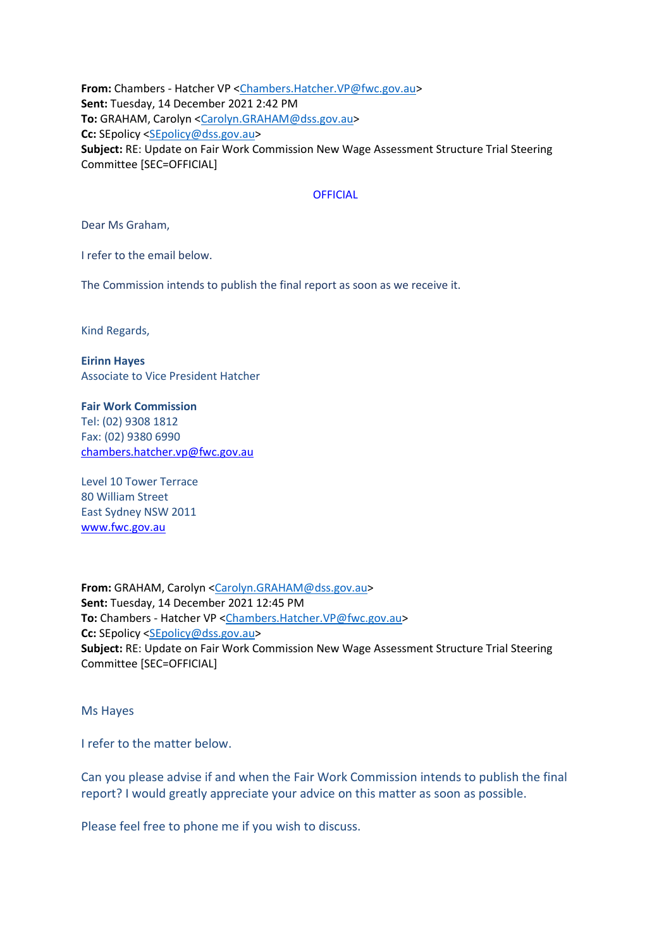**From:** Chambers - Hatcher VP [<Chambers.Hatcher.VP@fwc.gov.au>](mailto:Chambers.Hatcher.VP@fwc.gov.au) **Sent:** Tuesday, 14 December 2021 2:42 PM **To:** GRAHAM, Carolyn [<Carolyn.GRAHAM@dss.gov.au>](mailto:Carolyn.GRAHAM@dss.gov.au) **Cc:** SEpolicy [<SEpolicy@dss.gov.au>](mailto:SEpolicy@dss.gov.au) **Subject:** RE: Update on Fair Work Commission New Wage Assessment Structure Trial Steering Committee [SEC=OFFICIAL]

### **OFFICIAL**

Dear Ms Graham,

I refer to the email below.

The Commission intends to publish the final report as soon as we receive it.

Kind Regards,

**Eirinn Hayes** Associate to Vice President Hatcher

**Fair Work Commission**  Tel: (02) 9308 1812 Fax: (02) 9380 6990 [chambers.hatcher.vp@fwc.gov.au](mailto:chambers.hatcher.vp@fwc.gov.au)

Level 10 Tower Terrace 80 William Street East Sydney NSW 2011 [www.fwc.gov.au](http://www.fwc.gov.au/)

**From:** GRAHAM, Carolyn [<Carolyn.GRAHAM@dss.gov.au>](mailto:Carolyn.GRAHAM@dss.gov.au) **Sent:** Tuesday, 14 December 2021 12:45 PM **To:** Chambers - Hatcher VP [<Chambers.Hatcher.VP@fwc.gov.au>](mailto:Chambers.Hatcher.VP@fwc.gov.au) Cc: SEpolicy [<SEpolicy@dss.gov.au>](mailto:SEpolicy@dss.gov.au) **Subject:** RE: Update on Fair Work Commission New Wage Assessment Structure Trial Steering Committee [SEC=OFFICIAL]

Ms Hayes

I refer to the matter below.

Can you please advise if and when the Fair Work Commission intends to publish the final report? I would greatly appreciate your advice on this matter as soon as possible.

Please feel free to phone me if you wish to discuss.